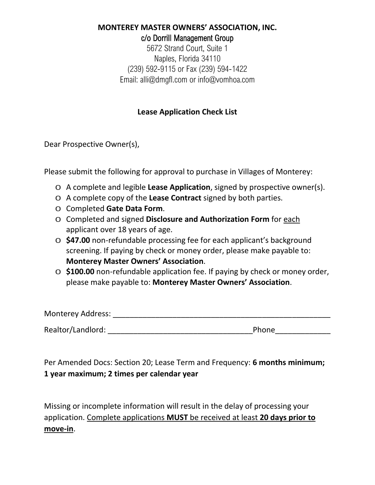### **MONTEREY MASTER OWNERS' ASSOCIATION, INC.** c/o Dorrill Management Group

5672 Strand Court, Suite 1 Naples, Florida 34110 (239) 592-9115 or Fax (239) 594-1422 Email: alli@dmgfl.com or [info@vomhoa.com](mailto:info@vomhoa.com)

# **Lease Application Check List**

Dear Prospective Owner(s),

Please submit the following for approval to purchase in Villages of Monterey:

- o A complete and legible **Lease Application**, signed by prospective owner(s).
- o A complete copy of the **Lease Contract** signed by both parties.
- o Completed **Gate Data Form**.
- o Completed and signed **Disclosure and Authorization Form** for each applicant over 18 years of age.
- o **\$47.00** non-refundable processing fee for each applicant's background screening. If paying by check or money order, please make payable to: **Monterey Master Owners' Association**.
- o **\$100.00** non-refundable application fee. If paying by check or money order, please make payable to: **Monterey Master Owners' Association**.

| <b>Monterey Address:</b> |       |  |  |  |
|--------------------------|-------|--|--|--|
| Realtor/Landlord:        | Phone |  |  |  |

Per Amended Docs: Section 20; Lease Term and Frequency: **6 months minimum; 1 year maximum; 2 times per calendar year**

Missing or incomplete information will result in the delay of processing your application. Complete applications **MUST** be received at least **20 days prior to move-in**.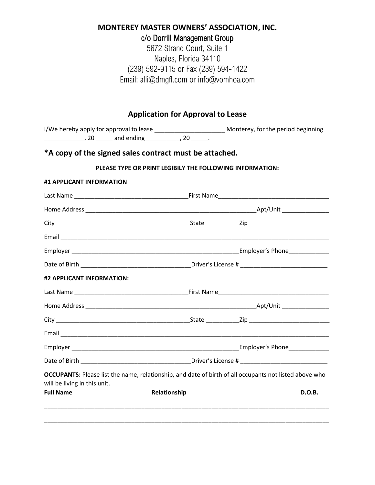# **MONTEREY MASTER OWNERS' ASSOCIATION, INC.**

c/o Dorrill Management Group

5672 Strand Court, Suite 1 Naples, Florida 34110 (239) 592-9115 or Fax (239) 594-1422 Email: alli@dmgfl.com or [info@vomhoa.com](mailto:info@vomhoa.com)

## **Application for Approval to Lease**

I/We hereby apply for approval to lease \_\_\_\_\_\_\_\_\_\_\_\_\_\_\_\_\_\_\_\_\_\_\_\_\_\_\_\_\_\_\_\_ Monterey, for the period beginning \_\_\_\_\_\_\_\_\_\_\_\_\_\_\_, 20 \_\_\_\_\_\_ and ending \_\_\_\_\_\_\_\_\_\_\_, 20 \_\_\_\_\_\_.

# **\*A copy of the signed sales contract must be attached.**

#### **PLEASE TYPE OR PRINT LEGIBILY THE FOLLOWING INFORMATION:**

| #1 APPLICANT INFORMATION     |              |                                                                                                        |  |  |
|------------------------------|--------------|--------------------------------------------------------------------------------------------------------|--|--|
|                              |              |                                                                                                        |  |  |
|                              |              |                                                                                                        |  |  |
|                              |              |                                                                                                        |  |  |
|                              |              |                                                                                                        |  |  |
|                              |              |                                                                                                        |  |  |
|                              |              |                                                                                                        |  |  |
| #2 APPLICANT INFORMATION:    |              |                                                                                                        |  |  |
|                              |              |                                                                                                        |  |  |
|                              |              |                                                                                                        |  |  |
|                              |              |                                                                                                        |  |  |
|                              |              |                                                                                                        |  |  |
|                              |              |                                                                                                        |  |  |
|                              |              |                                                                                                        |  |  |
| will be living in this unit. |              | OCCUPANTS: Please list the name, relationship, and date of birth of all occupants not listed above who |  |  |
| <b>Full Name</b>             | Relationship | D.O.B.                                                                                                 |  |  |
|                              |              |                                                                                                        |  |  |
|                              |              |                                                                                                        |  |  |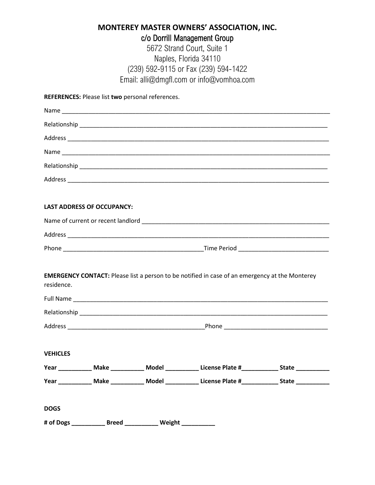# **MONTEREY MASTER OWNERS' ASSOCIATION, INC.** c/o Dorrill Management Group

5672 Strand Court, Suite 1 Naples, Florida 34110 (239) 592-9115 or Fax (239) 594-1422 Email: alli@dmgfl.com or [info@vomhoa.com](mailto:info@vomhoa.com)

| REFERENCES: Please list two personal references. |  |  |
|--------------------------------------------------|--|--|
|--------------------------------------------------|--|--|

|                 | <b>LAST ADDRESS OF OCCUPANCY:</b> |                                                                 |                                                                                                               |  |
|-----------------|-----------------------------------|-----------------------------------------------------------------|---------------------------------------------------------------------------------------------------------------|--|
|                 |                                   |                                                                 |                                                                                                               |  |
|                 |                                   |                                                                 |                                                                                                               |  |
|                 |                                   |                                                                 |                                                                                                               |  |
|                 |                                   |                                                                 |                                                                                                               |  |
| residence.      |                                   |                                                                 | <b>EMERGENCY CONTACT:</b> Please list a person to be notified in case of an emergency at the Monterey         |  |
|                 |                                   |                                                                 |                                                                                                               |  |
|                 |                                   |                                                                 |                                                                                                               |  |
|                 |                                   |                                                                 |                                                                                                               |  |
|                 |                                   |                                                                 |                                                                                                               |  |
| <b>VEHICLES</b> |                                   |                                                                 |                                                                                                               |  |
|                 |                                   |                                                                 | Year _____________ Make _____________ Model _______________ License Plate #_______________ State ____________ |  |
|                 |                                   |                                                                 | Year ____________ Make ___________ Model ___________ License Plate #____________ State ____________           |  |
| <b>DOGS</b>     |                                   |                                                                 |                                                                                                               |  |
|                 |                                   | # of Dogs _____________ Breed _____________ Weight ____________ |                                                                                                               |  |